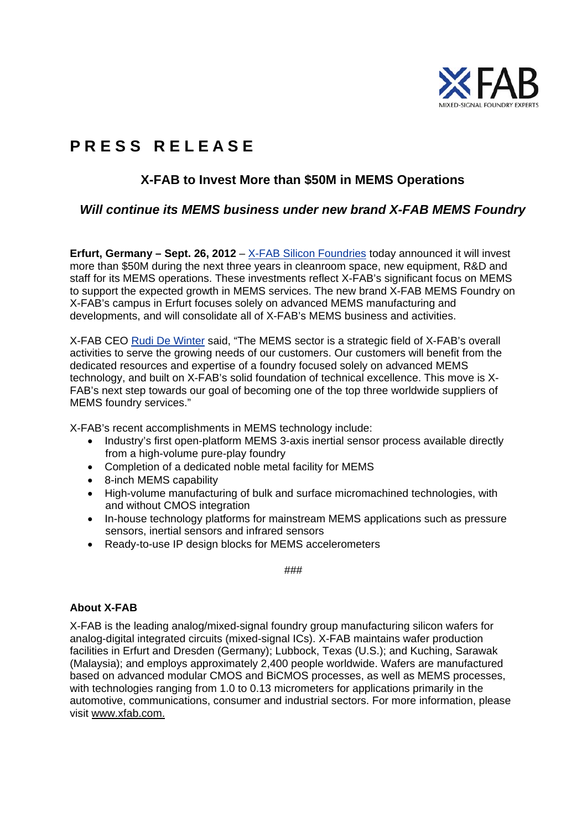

# **P R E S S R E L E A S E**

# **X-FAB to Invest More than \$50M in MEMS Operations**

## *Will continue its MEMS business under new brand X-FAB MEMS Foundry*

**Erfurt, Germany – Sept. 26, 2012** – X-FAB Silicon Foundries today announced it will invest more than \$50M during the next three years in cleanroom space, new equipment, R&D and staff for its MEMS operations. These investments reflect X-FAB's significant focus on MEMS to support the expected growth in MEMS services. The new brand X-FAB MEMS Foundry on X-FAB's campus in Erfurt focuses solely on advanced MEMS manufacturing and developments, and will consolidate all of X-FAB's MEMS business and activities.

X-FAB CEO Rudi De Winter said, "The MEMS sector is a strategic field of X-FAB's overall activities to serve the growing needs of our customers. Our customers will benefit from the dedicated resources and expertise of a foundry focused solely on advanced MEMS technology, and built on X-FAB's solid foundation of technical excellence. This move is X-FAB's next step towards our goal of becoming one of the top three worldwide suppliers of MEMS foundry services."

X-FAB's recent accomplishments in MEMS technology include:

- Industry's first open-platform MEMS 3-axis inertial sensor process available directly from a high-volume pure-play foundry
- Completion of a dedicated noble metal facility for MEMS
- 8-inch MEMS capability
- High-volume manufacturing of bulk and surface micromachined technologies, with and without CMOS integration
- In-house technology platforms for mainstream MEMS applications such as pressure sensors, inertial sensors and infrared sensors
- Ready-to-use IP design blocks for MEMS accelerometers

###

#### **About X-FAB**

X-FAB is the leading analog/mixed-signal foundry group manufacturing silicon wafers for analog-digital integrated circuits (mixed-signal ICs). X-FAB maintains wafer production facilities in Erfurt and Dresden (Germany); Lubbock, Texas (U.S.); and Kuching, Sarawak (Malaysia); and employs approximately 2,400 people worldwide. Wafers are manufactured based on advanced modular CMOS and BiCMOS processes, as well as MEMS processes, with technologies ranging from 1.0 to 0.13 micrometers for applications primarily in the automotive, communications, consumer and industrial sectors. For more information, please visit www.xfab.com.